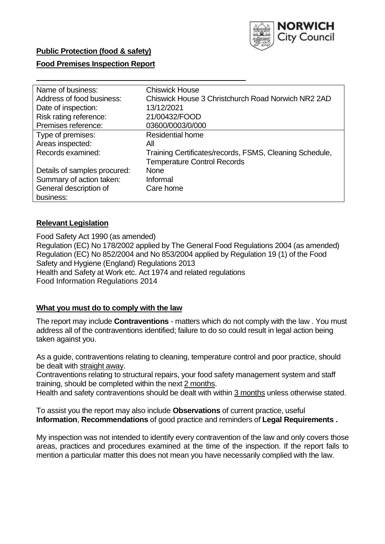

# **Public Protection (food & safety)**

#### **Food Premises Inspection Report**

| Name of business:            | <b>Chiswick House</b>                                   |
|------------------------------|---------------------------------------------------------|
| Address of food business:    | Chiswick House 3 Christchurch Road Norwich NR2 2AD      |
| Date of inspection:          | 13/12/2021                                              |
| Risk rating reference:       | 21/00432/FOOD                                           |
| Premises reference:          | 03600/0003/0/000                                        |
| Type of premises:            | <b>Residential home</b>                                 |
| Areas inspected:             | All                                                     |
| Records examined:            | Training Certificates/records, FSMS, Cleaning Schedule, |
|                              | <b>Temperature Control Records</b>                      |
| Details of samples procured: | <b>None</b>                                             |
| Summary of action taken:     | Informal                                                |
| General description of       | Care home                                               |
| business:                    |                                                         |

#### **Relevant Legislation**

 Food Safety Act 1990 (as amended) Regulation (EC) No 178/2002 applied by The General Food Regulations 2004 (as amended) Regulation (EC) No 852/2004 and No 853/2004 applied by Regulation 19 (1) of the Food Safety and Hygiene (England) Regulations 2013 Health and Safety at Work etc. Act 1974 and related regulations Food Information Regulations 2014

#### **What you must do to comply with the law**

 The report may include **Contraventions** - matters which do not comply with the law . You must address all of the contraventions identified; failure to do so could result in legal action being taken against you.

 As a guide, contraventions relating to cleaning, temperature control and poor practice, should be dealt with straight away.

 Contraventions relating to structural repairs, your food safety management system and staff training, should be completed within the next 2 months.

Health and safety contraventions should be dealt with within 3 months unless otherwise stated.

 To assist you the report may also include **Observations** of current practice, useful **Information**, **Recommendations** of good practice and reminders of **Legal Requirements .** 

 My inspection was not intended to identify every contravention of the law and only covers those areas, practices and procedures examined at the time of the inspection. If the report fails to mention a particular matter this does not mean you have necessarily complied with the law.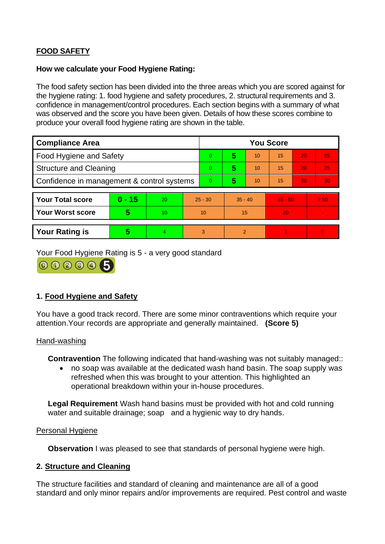# **FOOD SAFETY**

# **How we calculate your Food Hygiene Rating:**

 The food safety section has been divided into the three areas which you are scored against for the hygiene rating: 1. food hygiene and safety procedures, 2. structural requirements and 3. confidence in management/control procedures. Each section begins with a summary of what was observed and the score you have been given. Details of how these scores combine to produce your overall food hygiene rating are shown in the table.

| <b>Compliance Area</b>                     |          |    |                | <b>You Score</b> |                |    |           |    |                |  |  |
|--------------------------------------------|----------|----|----------------|------------------|----------------|----|-----------|----|----------------|--|--|
| Food Hygiene and Safety                    |          |    |                | $\Omega$         | 5              | 10 | 15        | 20 | 25             |  |  |
| <b>Structure and Cleaning</b>              |          |    | $\Omega$       | 5                | 10             | 15 | 20        | 25 |                |  |  |
| Confidence in management & control systems |          |    | $\overline{0}$ | 5                | 10             | 15 | 20        | 30 |                |  |  |
|                                            |          |    |                |                  |                |    |           |    |                |  |  |
| <b>Your Total score</b>                    | $0 - 15$ | 20 | $25 - 30$      |                  | $35 - 40$      |    | $45 - 50$ |    | > 50           |  |  |
| <b>Your Worst score</b>                    | 5        | 10 | 10             |                  | 15             |    | 20        |    | $\blacksquare$ |  |  |
|                                            |          |    |                |                  |                |    |           |    |                |  |  |
| <b>Your Rating is</b>                      | 5        | 4  |                | 3                | $\overline{2}$ |    |           |    | $\Omega$       |  |  |

Your Food Hygiene Rating is 5 - a very good standard



# **1. Food Hygiene and Safety**

You have a good track record. There are some minor contraventions which require your attention.Your records are appropriate and generally maintained. **(Score 5)** 

#### Hand-washing

**Contravention** The following indicated that hand-washing was not suitably managed::

• no soap was available at the dedicated wash hand basin. The soap supply was refreshed when this was brought to your attention. This highlighted an operational breakdown within your in-house procedures.

 **Legal Requirement** Wash hand basins must be provided with hot and cold running water and suitable drainage; soap and a hygienic way to dry hands.

#### Personal Hygiene

**Observation** I was pleased to see that standards of personal hygiene were high.

# **2. Structure and Cleaning**

The structure facilities and standard of cleaning and maintenance are all of a good standard and only minor repairs and/or improvements are required. Pest control and waste